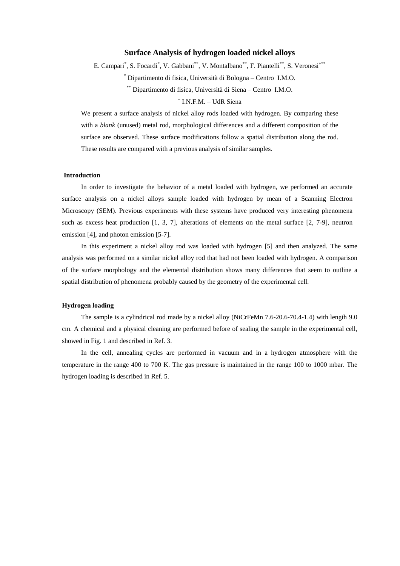## **Surface Analysis of hydrogen loaded nickel alloys**

E. Campari<sup>\*</sup>, S. Focardi<sup>\*</sup>, V. Gabbani<sup>\*\*</sup>, V. Montalbano<sup>\*\*</sup>, F. Piantelli<sup>\*\*</sup>, S. Veronesi<sup>+\*\*</sup>

\* Dipartimento di fisica, Università di Bologna –Centro I.M.O.

\*\* Dipartimento di fisica, Università di Siena –Centro I.M.O.

# + I.N.F.M. - UdR Siena

We present a surface analysis of nickel alloy rods loaded with hydrogen. By comparing these with a *blank* (unused) metal rod, morphological differences and a different composition of the surface are observed. These surface modifications follow a spatial distribution along the rod. These results are compared with a previous analysis of similar samples.

### **Introduction**

In order to investigate the behavior of a metal loaded with hydrogen, we performed an accurate surface analysis on a nickel alloys sample loaded with hydrogen by mean of a Scanning Electron Microscopy (SEM). Previous experiments with these systems have produced very interesting phenomena such as excess heat production [1, 3, 7], alterations of elements on the metal surface [2, 7-9], neutron emission [4], and photon emission [5-7].

In this experiment a nickel alloy rod was loaded with hydrogen [5] and then analyzed. The same analysis was performed on a similar nickel alloy rod that had not been loaded with hydrogen. A comparison of the surface morphology and the elemental distribution shows many differences that seem to outline a spatial distribution of phenomena probably caused by the geometry of the experimental cell.

# **Hydrogen loading**

The sample is a cylindrical rod made by a nickel alloy (NiCrFeMn 7.6-20.6-70.4-1.4) with length 9.0 cm. A chemical and a physical cleaning are performed before of sealing the sample in the experimental cell, showed in Fig. 1 and described in Ref. 3.

In the cell, annealing cycles are performed in vacuum and in a hydrogen atmosphere with the temperature in the range 400 to 700 K. The gas pressure is maintained in the range 100 to 1000 mbar. The hydrogen loading is described in Ref. 5.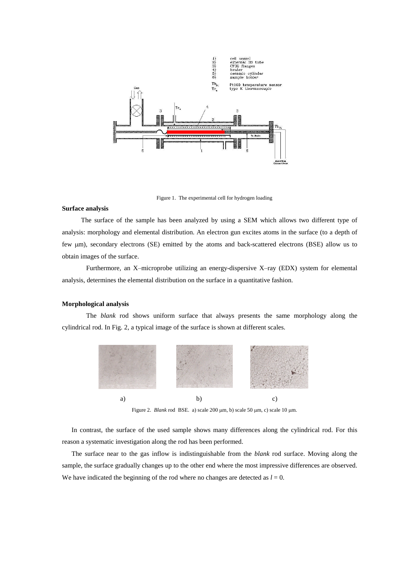

Figure 1. The experimental cell for hydrogen loading

#### **Surface analysis**

The surface of the sample has been analyzed by using a SEM which allows two different type of analysis: morphology and elemental distribution. An electron gun excites atoms in the surface (to a depth of few  $\mu$ m), secondary electrons (SE) emitted by the atoms and back-scattered electrons (BSE) allow us to obtain images of the surface.

Furthermore, an X–microprobe utilizing an energy-dispersive X–ray (EDX) system for elemental analysis, determines the elemental distribution on the surface in a quantitative fashion.

#### **Morphological analysis**

The *blank* rod shows uniform surface that always presents the same morphology along the cylindrical rod. In Fig. 2, a typical image of the surface is shown at different scales.



Figure 2. *Blank* rod BSE. a) scale 200  $\mu$ m, b) scale 50  $\mu$ m, c) scale 10  $\mu$ m.

In contrast, the surface of the used sample shows many differences along the cylindrical rod. For this reason a systematic investigation along the rod has been performed.

The surface near to the gas inflow is indistinguishable from the *blank* rod surface. Moving along the sample, the surface gradually changes up to the other end where the most impressive differences are observed. We have indicated the beginning of the rod where no changes are detected as  $l = 0$ .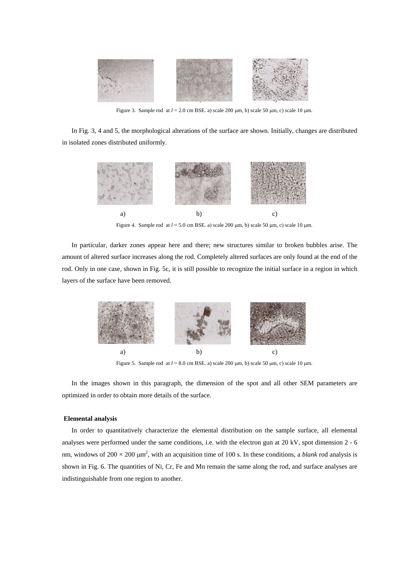

Figure 3. Sample rod at  $l = 2.0$  cm BSE. a) scale 200  $\mu$ m, b) scale 50  $\mu$ m, c) scale 10  $\mu$ m.

In Fig. 3, 4 and 5, the morphological alterations of the surface are shown. Initially, changes are distributed in isolated zones distributed uniformly.



Figure 4. Sample rod at  $l = 5.0$  cm BSE. a) scale 200  $\mu$ m, b) scale 50  $\mu$ m, c) scale 10  $\mu$ m.

In particular, darker zones appear here and there; new structures similar to broken bubbles arise. The amount of altered surface increases along the rod. Completely altered surfaces are only found at the end of the rod. Only in one case, shown in Fig. 5c, it is still possible to recognize the initial surface in a region in which layers of the surface have been removed.



Figure 5. Sample rod at  $l = 8.0$  cm BSE. a) scale 200  $\mu$ m, b) scale 50  $\mu$ m, c) scale 10  $\mu$ m.

In the images shown in this paragraph, the dimension of the spot and all other SEM parameters are optimized in order to obtain more details of the surface.

## **Elemental analysis**

In order to quantitatively characterize the elemental distribution on the sample surface, all elemental analyses were performed under the same conditions, i.e. with the electron gun at 20 kV, spot dimension 2 - 6 nm, windows of  $200 \times 200 \mu m^2$ , with an acquisition time of 100 s. In these conditions, a *blank* rod analysis is shown in Fig. 6. The quantities of Ni, Cr, Fe and Mn remain the same along the rod, and surface analyses are indistinguishable from one region to another.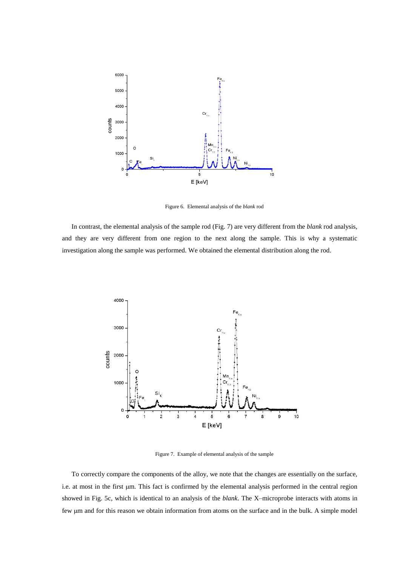

Figure 6. Elemental analysis of the *blank* rod

In contrast, the elemental analysis of the sample rod (Fig. 7) are very different from the *blank* rod analysis, and they are very different from one region to the next along the sample. This is why a systematic investigation along the sample was performed. We obtained the elemental distribution along the rod.



Figure 7. Example of elemental analysis of the sample

To correctly compare the components of the alloy, we note that the changes are essentially on the surface, i.e. at most in the first µm. This fact is confirmed by the elemental analysis performed in the central region showed in Fig. 5c, which is identical to an analysis of the *blank*. The X–microprobe interacts with atoms in few µm and for this reason we obtain information from atoms on the surface and in the bulk. A simple model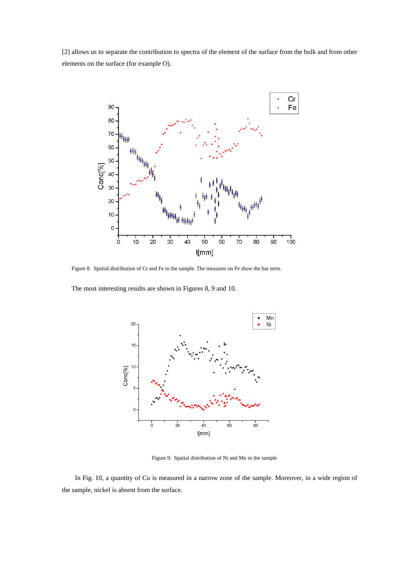[2] allows us to separate the contribution to spectra of the element of the surface from the bulk and from other elements on the surface (for example O).



Figure 8. Spatial distribution of Cr and Fe in the sample. The measures on Fe show the bar error.

The most interesting results are shown in Figures 8, 9 and 10.



Figure 9. Spatial distribution of Ni and Mn in the sample

In Fig. 10, a quantity of Cu is measured in a narrow zone of the sample. Moreover, in a wide region of the sample, nickel is absent from the surface.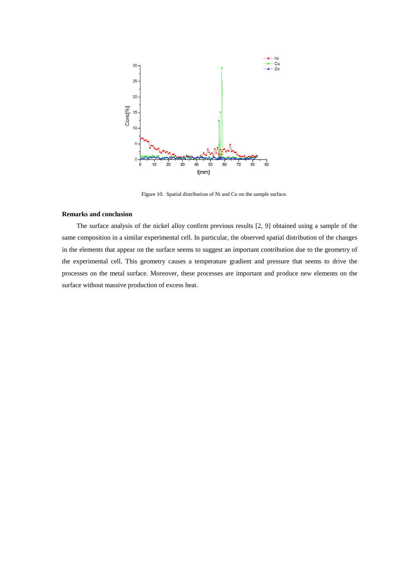

Figure 10. Spatial distribution of Ni and Cu on the sample surface.

## **Remarks and conclusion**

The surface analysis of the nickel alloy confirm previous results [2, 9] obtained using a sample of the same composition in a similar experimental cell. In particular, the observed spatial distribution of the changes in the elements that appear on the surface seems to suggest an important contribution due to the geometry of the experimental cell. This geometry causes a temperature gradient and pressure that seems to drive the processes on the metal surface. Moreover, these processes are important and produce new elements on the surface without massive production of excess heat.